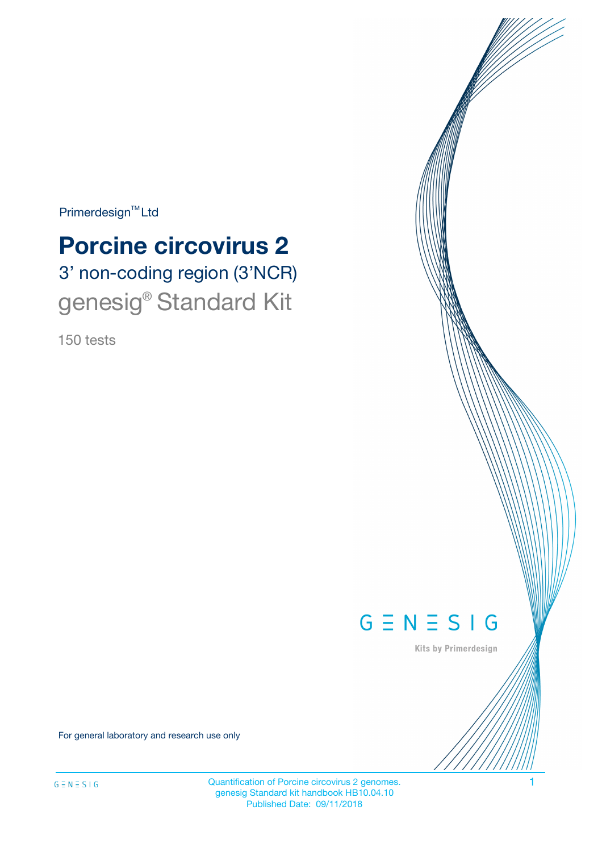$Primerdesign^{\text{TM}}Ltd$ 

# 3' non-coding region (3'NCR) **Porcine circovirus 2**

genesig<sup>®</sup> Standard Kit

150 tests



Kits by Primerdesign

For general laboratory and research use only

Quantification of Porcine circovirus 2 genomes. 1 genesig Standard kit handbook HB10.04.10 Published Date: 09/11/2018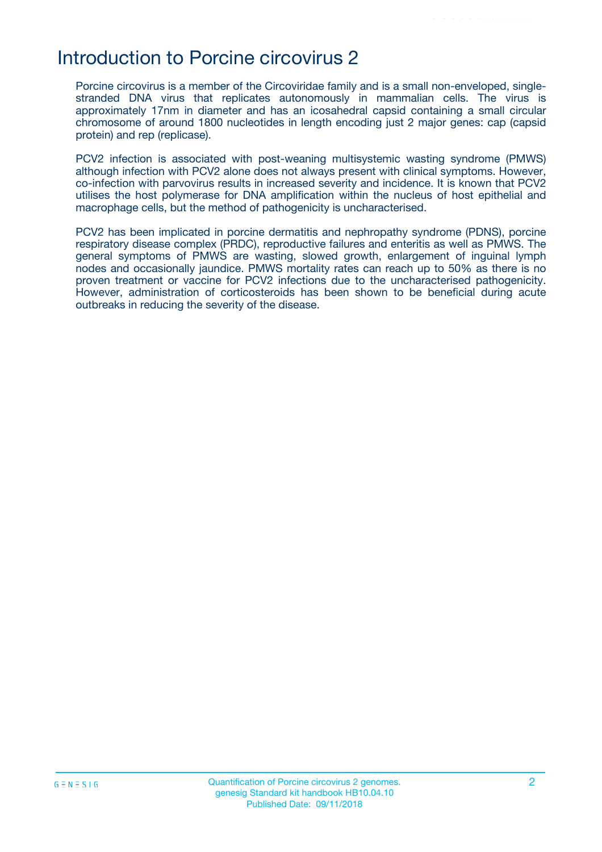### Introduction to Porcine circovirus 2

Porcine circovirus is a member of the Circoviridae family and is a small non-enveloped, singlestranded DNA virus that replicates autonomously in mammalian cells. The virus is approximately 17nm in diameter and has an icosahedral capsid containing a small circular chromosome of around 1800 nucleotides in length encoding just 2 major genes: cap (capsid protein) and rep (replicase).

PCV2 infection is associated with post-weaning multisystemic wasting syndrome (PMWS) although infection with PCV2 alone does not always present with clinical symptoms. However, co-infection with parvovirus results in increased severity and incidence. It is known that PCV2 utilises the host polymerase for DNA amplification within the nucleus of host epithelial and macrophage cells, but the method of pathogenicity is uncharacterised.

PCV2 has been implicated in porcine dermatitis and nephropathy syndrome (PDNS), porcine respiratory disease complex (PRDC), reproductive failures and enteritis as well as PMWS. The general symptoms of PMWS are wasting, slowed growth, enlargement of inguinal lymph nodes and occasionally jaundice. PMWS mortality rates can reach up to 50% as there is no proven treatment or vaccine for PCV2 infections due to the uncharacterised pathogenicity. However, administration of corticosteroids has been shown to be beneficial during acute outbreaks in reducing the severity of the disease.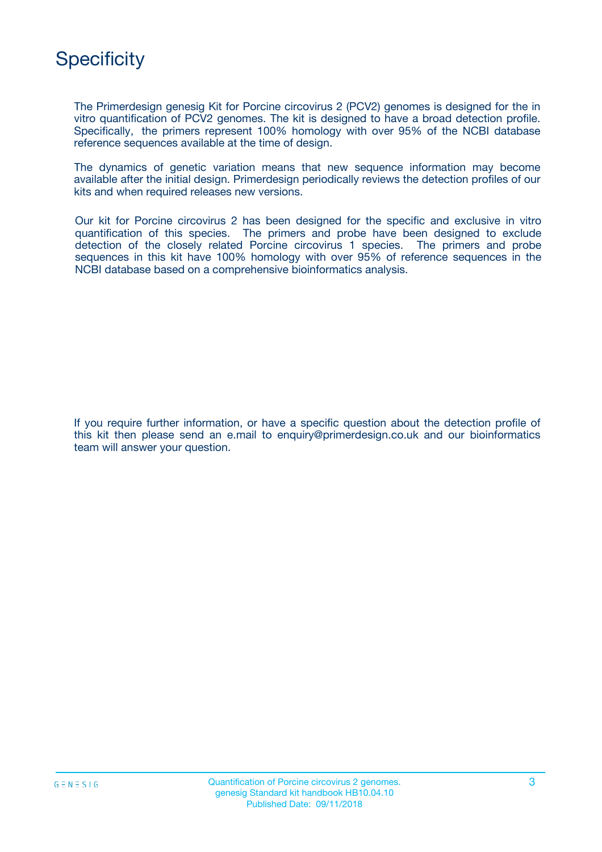## **Specificity**

The Primerdesign genesig Kit for Porcine circovirus 2 (PCV2) genomes is designed for the in vitro quantification of PCV2 genomes. The kit is designed to have a broad detection profile. Specifically, the primers represent 100% homology with over 95% of the NCBI database reference sequences available at the time of design.

The dynamics of genetic variation means that new sequence information may become available after the initial design. Primerdesign periodically reviews the detection profiles of our kits and when required releases new versions.

Our kit for Porcine circovirus 2 has been designed for the specific and exclusive in vitro quantification of this species. The primers and probe have been designed to exclude detection of the closely related Porcine circovirus 1 species. The primers and probe sequences in this kit have 100% homology with over 95% of reference sequences in the NCBI database based on a comprehensive bioinformatics analysis.

If you require further information, or have a specific question about the detection profile of this kit then please send an e.mail to enquiry@primerdesign.co.uk and our bioinformatics team will answer your question.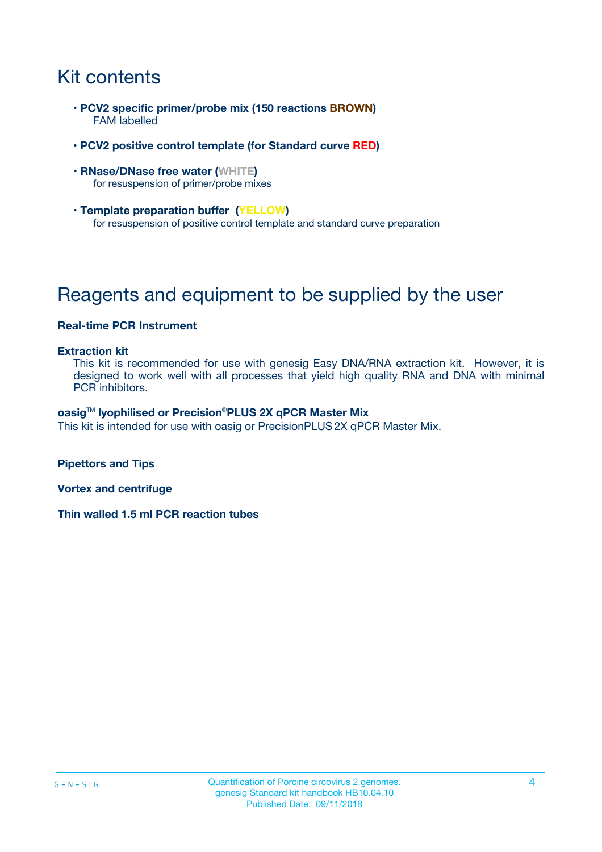## Kit contents

- **PCV2 specific primer/probe mix (150 reactions BROWN)** FAM labelled
- **PCV2 positive control template (for Standard curve RED)**
- **RNase/DNase free water (WHITE)** for resuspension of primer/probe mixes
- **Template preparation buffer (YELLOW)** for resuspension of positive control template and standard curve preparation

## Reagents and equipment to be supplied by the user

#### **Real-time PCR Instrument**

#### **Extraction kit**

This kit is recommended for use with genesig Easy DNA/RNA extraction kit. However, it is designed to work well with all processes that yield high quality RNA and DNA with minimal PCR inhibitors.

#### **oasig**TM **lyophilised or Precision**®**PLUS 2X qPCR Master Mix**

This kit is intended for use with oasig or PrecisionPLUS2X qPCR Master Mix.

**Pipettors and Tips**

**Vortex and centrifuge**

**Thin walled 1.5 ml PCR reaction tubes**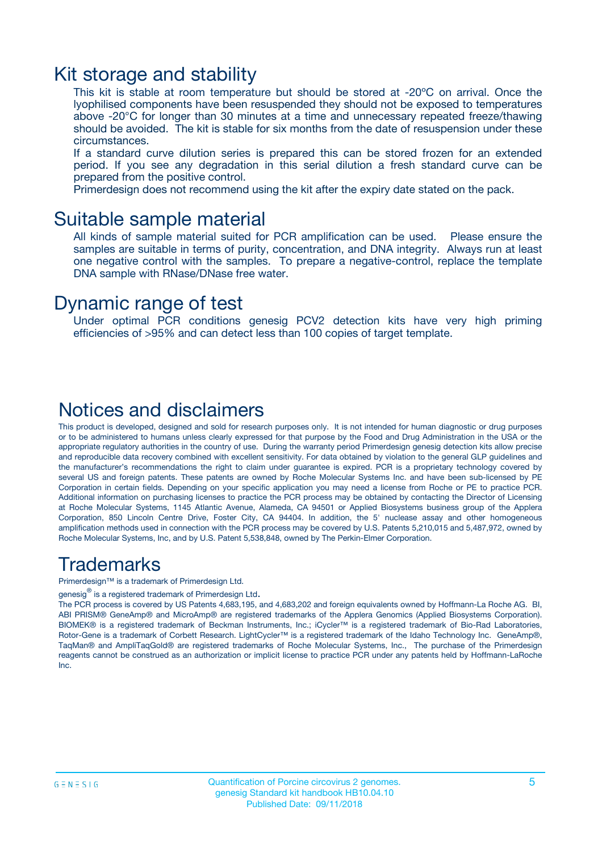### Kit storage and stability

This kit is stable at room temperature but should be stored at -20ºC on arrival. Once the lyophilised components have been resuspended they should not be exposed to temperatures above -20°C for longer than 30 minutes at a time and unnecessary repeated freeze/thawing should be avoided. The kit is stable for six months from the date of resuspension under these circumstances.

If a standard curve dilution series is prepared this can be stored frozen for an extended period. If you see any degradation in this serial dilution a fresh standard curve can be prepared from the positive control.

Primerdesign does not recommend using the kit after the expiry date stated on the pack.

### Suitable sample material

All kinds of sample material suited for PCR amplification can be used. Please ensure the samples are suitable in terms of purity, concentration, and DNA integrity. Always run at least one negative control with the samples. To prepare a negative-control, replace the template DNA sample with RNase/DNase free water.

### Dynamic range of test

Under optimal PCR conditions genesig PCV2 detection kits have very high priming efficiencies of >95% and can detect less than 100 copies of target template.

### Notices and disclaimers

This product is developed, designed and sold for research purposes only. It is not intended for human diagnostic or drug purposes or to be administered to humans unless clearly expressed for that purpose by the Food and Drug Administration in the USA or the appropriate regulatory authorities in the country of use. During the warranty period Primerdesign genesig detection kits allow precise and reproducible data recovery combined with excellent sensitivity. For data obtained by violation to the general GLP guidelines and the manufacturer's recommendations the right to claim under guarantee is expired. PCR is a proprietary technology covered by several US and foreign patents. These patents are owned by Roche Molecular Systems Inc. and have been sub-licensed by PE Corporation in certain fields. Depending on your specific application you may need a license from Roche or PE to practice PCR. Additional information on purchasing licenses to practice the PCR process may be obtained by contacting the Director of Licensing at Roche Molecular Systems, 1145 Atlantic Avenue, Alameda, CA 94501 or Applied Biosystems business group of the Applera Corporation, 850 Lincoln Centre Drive, Foster City, CA 94404. In addition, the 5' nuclease assay and other homogeneous amplification methods used in connection with the PCR process may be covered by U.S. Patents 5,210,015 and 5,487,972, owned by Roche Molecular Systems, Inc, and by U.S. Patent 5,538,848, owned by The Perkin-Elmer Corporation.

### Trademarks

Primerdesign™ is a trademark of Primerdesign Ltd.

genesig $^\circledR$  is a registered trademark of Primerdesign Ltd.

The PCR process is covered by US Patents 4,683,195, and 4,683,202 and foreign equivalents owned by Hoffmann-La Roche AG. BI, ABI PRISM® GeneAmp® and MicroAmp® are registered trademarks of the Applera Genomics (Applied Biosystems Corporation). BIOMEK® is a registered trademark of Beckman Instruments, Inc.; iCycler™ is a registered trademark of Bio-Rad Laboratories, Rotor-Gene is a trademark of Corbett Research. LightCycler™ is a registered trademark of the Idaho Technology Inc. GeneAmp®, TaqMan® and AmpliTaqGold® are registered trademarks of Roche Molecular Systems, Inc., The purchase of the Primerdesign reagents cannot be construed as an authorization or implicit license to practice PCR under any patents held by Hoffmann-LaRoche Inc.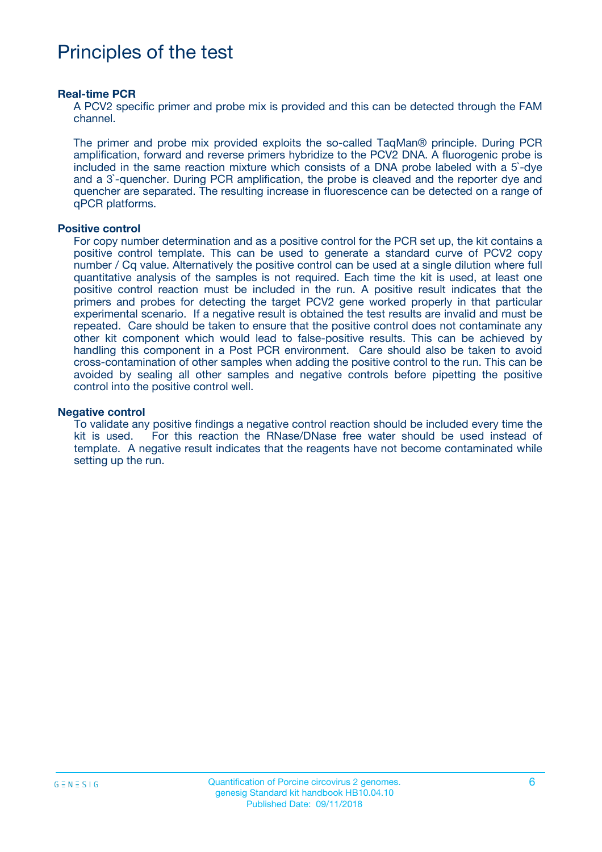## Principles of the test

#### **Real-time PCR**

A PCV2 specific primer and probe mix is provided and this can be detected through the FAM channel.

The primer and probe mix provided exploits the so-called TaqMan® principle. During PCR amplification, forward and reverse primers hybridize to the PCV2 DNA. A fluorogenic probe is included in the same reaction mixture which consists of a DNA probe labeled with a 5`-dye and a 3`-quencher. During PCR amplification, the probe is cleaved and the reporter dye and quencher are separated. The resulting increase in fluorescence can be detected on a range of qPCR platforms.

#### **Positive control**

For copy number determination and as a positive control for the PCR set up, the kit contains a positive control template. This can be used to generate a standard curve of PCV2 copy number / Cq value. Alternatively the positive control can be used at a single dilution where full quantitative analysis of the samples is not required. Each time the kit is used, at least one positive control reaction must be included in the run. A positive result indicates that the primers and probes for detecting the target PCV2 gene worked properly in that particular experimental scenario. If a negative result is obtained the test results are invalid and must be repeated. Care should be taken to ensure that the positive control does not contaminate any other kit component which would lead to false-positive results. This can be achieved by handling this component in a Post PCR environment. Care should also be taken to avoid cross-contamination of other samples when adding the positive control to the run. This can be avoided by sealing all other samples and negative controls before pipetting the positive control into the positive control well.

#### **Negative control**

To validate any positive findings a negative control reaction should be included every time the kit is used. For this reaction the RNase/DNase free water should be used instead of template. A negative result indicates that the reagents have not become contaminated while setting up the run.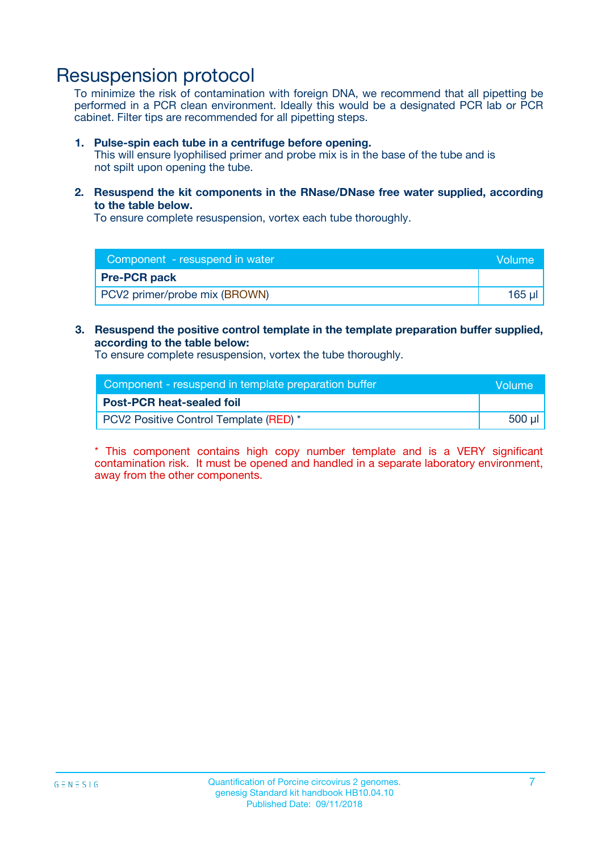### Resuspension protocol

To minimize the risk of contamination with foreign DNA, we recommend that all pipetting be performed in a PCR clean environment. Ideally this would be a designated PCR lab or PCR cabinet. Filter tips are recommended for all pipetting steps.

#### **1. Pulse-spin each tube in a centrifuge before opening.**

This will ensure lyophilised primer and probe mix is in the base of the tube and is not spilt upon opening the tube.

**2. Resuspend the kit components in the RNase/DNase free water supplied, according to the table below.**

To ensure complete resuspension, vortex each tube thoroughly.

| Component - resuspend in water<br>Volume |        |
|------------------------------------------|--------|
| <b>Pre-PCR pack</b>                      |        |
| PCV2 primer/probe mix (BROWN)            | 165 ul |

#### **3. Resuspend the positive control template in the template preparation buffer supplied, according to the table below:**

To ensure complete resuspension, vortex the tube thoroughly.

| Component - resuspend in template preparation buffer | lVolume' |
|------------------------------------------------------|----------|
| <b>Post-PCR heat-sealed foil</b>                     |          |
| PCV2 Positive Control Template (RED) *               | 500 µl   |

\* This component contains high copy number template and is a VERY significant contamination risk. It must be opened and handled in a separate laboratory environment, away from the other components.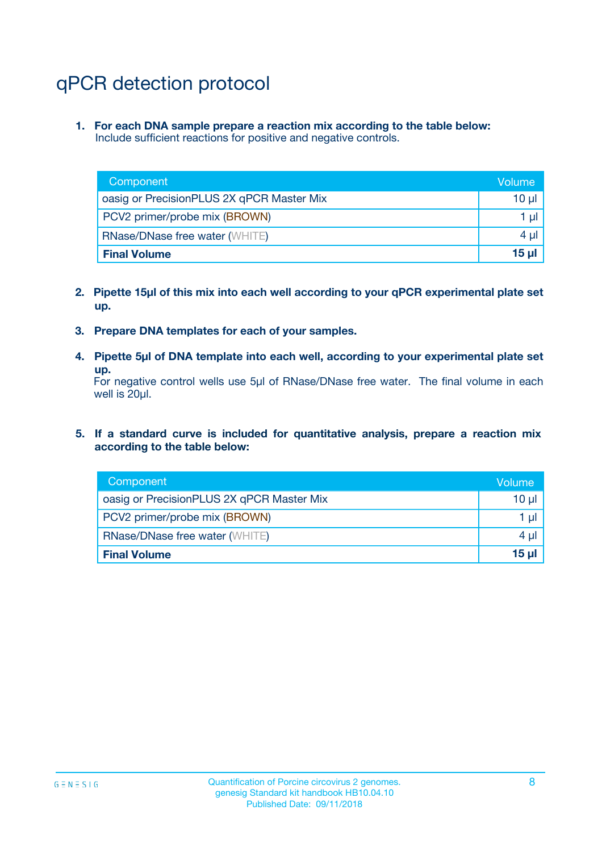## qPCR detection protocol

**1. For each DNA sample prepare a reaction mix according to the table below:** Include sufficient reactions for positive and negative controls.

| Component                                 | Volume       |
|-------------------------------------------|--------------|
| oasig or PrecisionPLUS 2X qPCR Master Mix | 10 $\mu$     |
| PCV2 primer/probe mix (BROWN)             | 1 $\mu$      |
| <b>RNase/DNase free water (WHITE)</b>     | $4 \mu$      |
| <b>Final Volume</b>                       | <b>15 ul</b> |

- **2. Pipette 15µl of this mix into each well according to your qPCR experimental plate set up.**
- **3. Prepare DNA templates for each of your samples.**
- **4. Pipette 5µl of DNA template into each well, according to your experimental plate set up.**

For negative control wells use 5µl of RNase/DNase free water. The final volume in each well is 20µl.

**5. If a standard curve is included for quantitative analysis, prepare a reaction mix according to the table below:**

| Component                                 | Volume  |
|-------------------------------------------|---------|
| oasig or PrecisionPLUS 2X qPCR Master Mix | 10 µl   |
| PCV2 primer/probe mix (BROWN)             | 1 µI    |
| <b>RNase/DNase free water (WHITE)</b>     | $4 \mu$ |
| <b>Final Volume</b>                       | 15 µl   |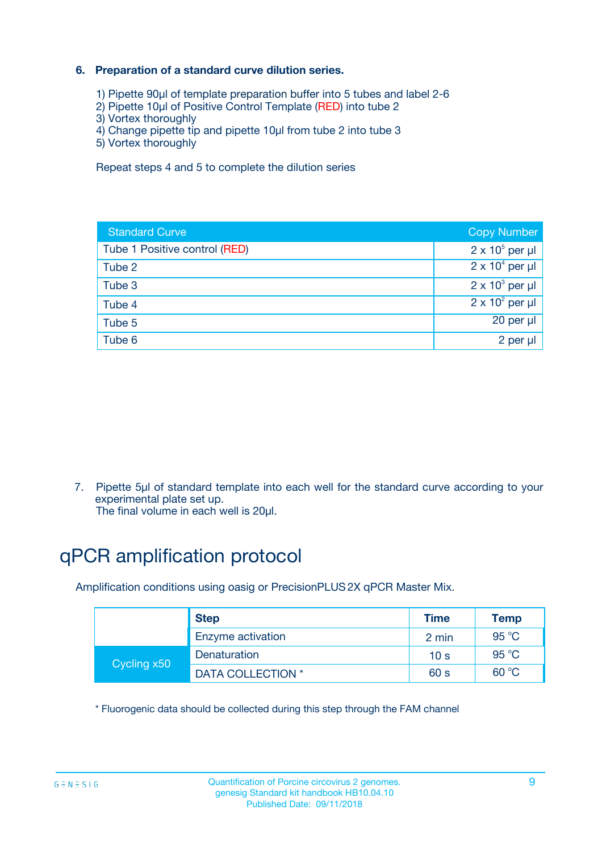### **6. Preparation of a standard curve dilution series.**

- 1) Pipette 90µl of template preparation buffer into 5 tubes and label 2-6
- 2) Pipette 10µl of Positive Control Template (RED) into tube 2
- 3) Vortex thoroughly
- 4) Change pipette tip and pipette 10µl from tube 2 into tube 3
- 5) Vortex thoroughly

Repeat steps 4 and 5 to complete the dilution series

| <b>Standard Curve</b>         | <b>Copy Number</b>     |
|-------------------------------|------------------------|
| Tube 1 Positive control (RED) | $2 \times 10^5$ per µl |
| Tube 2                        | $2 \times 10^4$ per µl |
| Tube 3                        | $2 \times 10^3$ per µl |
| Tube 4                        | $2 \times 10^2$ per µl |
| Tube 5                        | 20 per µl              |
| Tube 6                        | 2 per ul               |

7. Pipette 5µl of standard template into each well for the standard curve according to your experimental plate set up.

The final volume in each well is 20µl.

## qPCR amplification protocol

Amplification conditions using oasig or PrecisionPLUS2X qPCR Master Mix.

|             | <b>Step</b>       | <b>Time</b>     | Temp           |
|-------------|-------------------|-----------------|----------------|
|             | Enzyme activation | 2 min           | $95^{\circ}$ C |
| Cycling x50 | Denaturation      | 10 <sub>s</sub> | 95 $°C$        |
|             | DATA COLLECTION * | 60 s            | 60 °C          |

\* Fluorogenic data should be collected during this step through the FAM channel